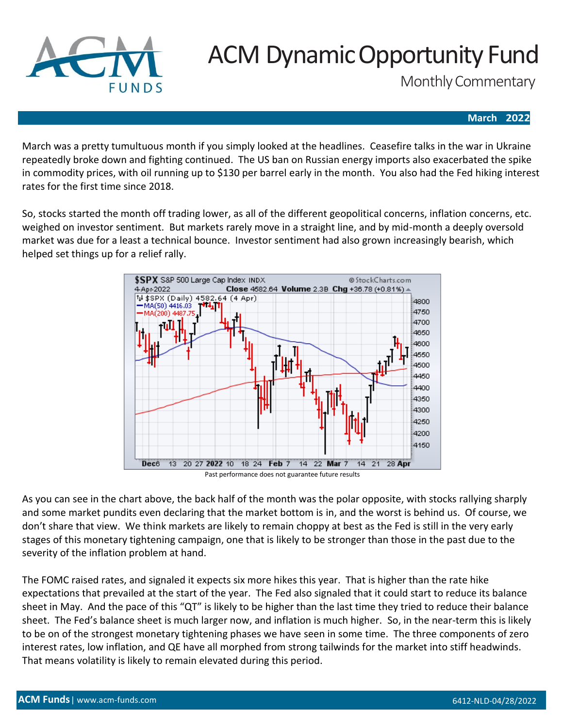

# ACM Dynamic Opportunity Fund

Monthly Commentary

#### **March 2022**

March was a pretty tumultuous month if you simply looked at the headlines. Ceasefire talks in the war in Ukraine repeatedly broke down and fighting continued. The US ban on Russian energy imports also exacerbated the spike in commodity prices, with oil running up to \$130 per barrel early in the month. You also had the Fed hiking interest rates for the first time since 2018.

So, stocks started the month off trading lower, as all of the different geopolitical concerns, inflation concerns, etc. weighed on investor sentiment. But markets rarely move in a straight line, and by mid-month a deeply oversold market was due for a least a technical bounce. Investor sentiment had also grown increasingly bearish, which helped set things up for a relief rally.



Past performance does not guarantee future results

As you can see in the chart above, the back half of the month was the polar opposite, with stocks rallying sharply and some market pundits even declaring that the market bottom is in, and the worst is behind us. Of course, we don't share that view. We think markets are likely to remain choppy at best as the Fed is still in the very early stages of this monetary tightening campaign, one that is likely to be stronger than those in the past due to the severity of the inflation problem at hand.

The FOMC raised rates, and signaled it expects six more hikes this year. That is higher than the rate hike expectations that prevailed at the start of the year. The Fed also signaled that it could start to reduce its balance sheet in May. And the pace of this "QT" is likely to be higher than the last time they tried to reduce their balance sheet. The Fed's balance sheet is much larger now, and inflation is much higher. So, in the near-term this is likely to be on of the strongest monetary tightening phases we have seen in some time. The three components of zero interest rates, low inflation, and QE have all morphed from strong tailwinds for the market into stiff headwinds. That means volatility is likely to remain elevated during this period.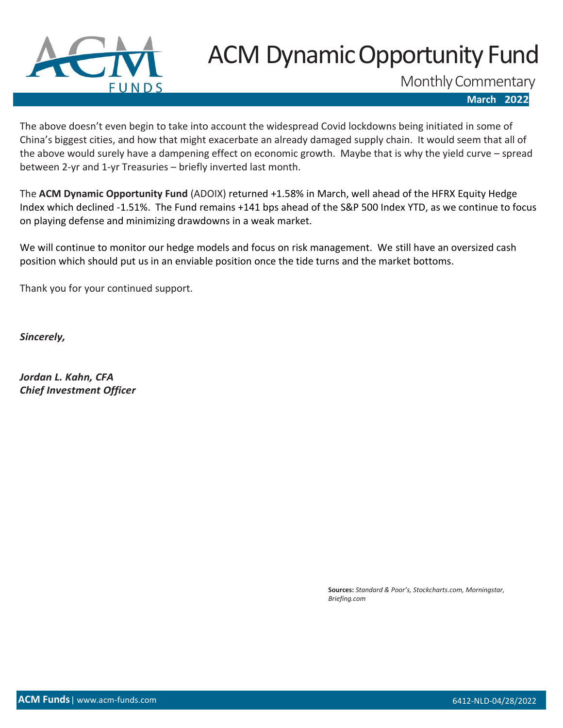

# ACM Dynamic Opportunity Fund

Monthly Commentary

 **March 2022**

The above doesn't even begin to take into account the widespread Covid lockdowns being initiated in some of China's biggest cities, and how that might exacerbate an already damaged supply chain. It would seem that all of the above would surely have a dampening effect on economic growth. Maybe that is why the yield curve – spread between 2-yr and 1-yr Treasuries – briefly inverted last month.

The **ACM Dynamic Opportunity Fund** (ADOIX) returned +1.58% in March, well ahead of the HFRX Equity Hedge Index which declined -1.51%. The Fund remains +141 bps ahead of the S&P 500 Index YTD, as we continue to focus on playing defense and minimizing drawdowns in a weak market.

We will continue to monitor our hedge models and focus on risk management. We still have an oversized cash position which should put us in an enviable position once the tide turns and the market bottoms.

Thank you for your continued support.

*Sincerely,*

*Jordan L. Kahn, CFA Chief Investment Officer*

> **Sources:** *Standard & Poor's, Stockcharts.com, Morningstar, Briefing.com*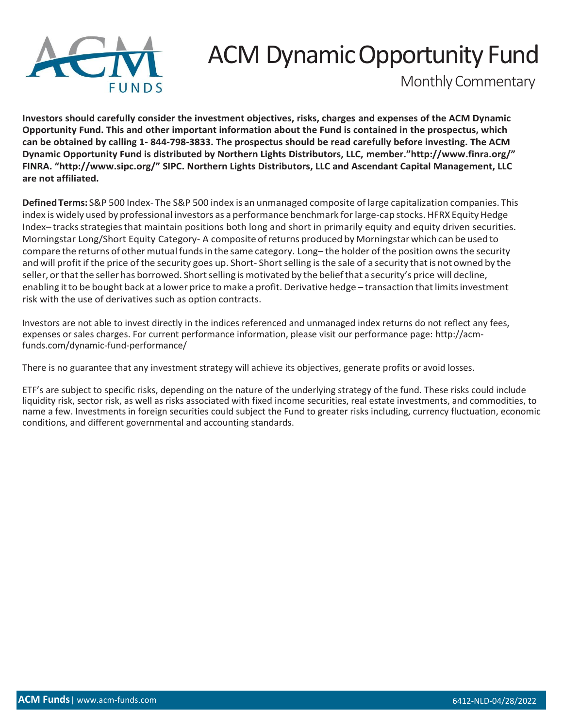

## ACM Dynamic Opportunity Fund

Monthly Commentary

**Investors should carefully consider the investment objectives, risks, charges and expenses of the ACM Dynamic Opportunity Fund. This and other important information about the Fund is contained in the prospectus, which can be obtained by calling 1- 844-798-3833. The prospectus should be read carefully before investing. The ACM Dynamic Opportunity Fund is distributed by Northern Lights Distributors, LLC, [member."http://www.finra.or](http://www.finra.org/)g/" FINRA. ["http://www.sipc](http://www.sipc.org/).[org/"](http://www.sipc.org/) SIPC. Northern Lights Distributors, LLC and Ascendant Capital Management, LLC are not affiliated.**

**DefinedTerms:** S&P 500 Index- The S&P 500 index is an unmanaged composite of large capitalization companies. This index is widely used by professional investors as a performance benchmark for large-cap stocks. HFRX Equity Hedge Index-tracks strategies that maintain positions both long and short in primarily equity and equity driven securities. Morningstar Long/Short Equity Category- A composite ofreturns produced by Morningstar which can be used to compare the returns of other mutual funds in the same category. Long– the holder of the position owns the security and will profit if the price of the security goes up. Short-Short selling is the sale of a security that is not owned by the seller, or that the seller has borrowed. Short selling is motivated by the belief that a security's price will decline, enabling it to be bought back at a lower price to make a profit. Derivative hedge - transaction that limits investment risk with the use of derivatives such as option contracts.

Investors are not able to invest directly in the indices referenced and unmanaged index returns do not reflect any fees, expenses or sales charges. For current performance information, please visit our performance page: [http://acm](http://acm-funds.com/dynamic-fund-performance/)[funds.com/dynamic-fund-performance/](http://acm-funds.com/dynamic-fund-performance/)

There is no guarantee that any investment strategy will achieve its objectives, generate profits or avoid losses.

ETF's are subject to specific risks, depending on the nature of the underlying strategy of the fund. These risks could include liquidity risk, sector risk, as well as risks associated with fixed income securities, real estate investments, and commodities, to name a few. Investments in foreign securities could subject the Fund to greater risks including, currency fluctuation, economic conditions, and different governmental and accounting standards.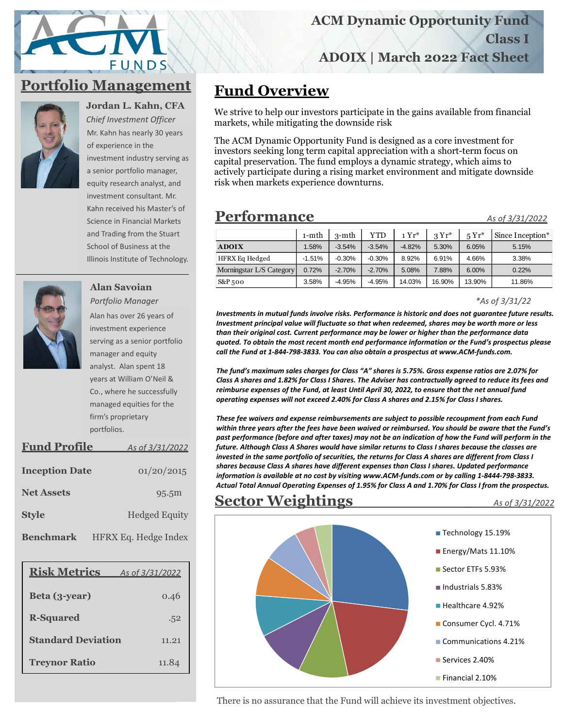# FUNDS

## **Portfolio Management**



**Jordan L. Kahn, CFA** *Chief Investment Officer* 

Mr. Kahn has nearly 30 years of experience in the investment industry serving as a senior portfolio manager, equity research analyst, and investment consultant. Mr. Kahn received his Master's of Science in Financial Markets and Trading from the Stuart School of Business at the Illinois Institute of Technology.



**Alan Savoian** *Portfolio Manager* Alan has over 26 years of investment experience serving as a senior portfolio manager and equity analyst. Alan spent 18 years at William O'Neil & Co., where he successfully managed equities for the firm's proprietary portfolios.

| <b>Fund Profile</b>   | As of 3/31/2022      |  |  |  |
|-----------------------|----------------------|--|--|--|
| <b>Inception Date</b> | 01/20/2015           |  |  |  |
| <b>Net Assets</b>     | 95.5m                |  |  |  |
| <b>Style</b>          | <b>Hedged Equity</b> |  |  |  |
| <b>Benchmark</b>      | HFRX Eq. Hedge Index |  |  |  |

| <b>Risk Metrics</b>       | As of 3/31/2022 |
|---------------------------|-----------------|
| Beta (3-year)             | 0.46            |
| <b>R-Squared</b>          | .52             |
| <b>Standard Deviation</b> | 11.21           |
| <b>Treynor Ratio</b>      | 11.84           |

## **Fund Overview**

We strive to help our investors participate in the gains available from financial markets, while mitigating the downside risk

The ACM Dynamic Opportunity Fund is designed as a core investment for investors seeking long term capital appreciation with a short-term focus on capital preservation. The fund employs a dynamic strategy, which aims to actively participate during a rising market environment and mitigate downside risk when markets experience downturns.

### **Performance\_\_\_\_\_\_\_\_\_\_\_\_** *As of 3/31/2022*

|                          | $1-$ mth | $3-$ mth | <b>YTD</b> | $1 Yr^*$ | $3Yr^*$ | $5Yr^*$ | Since Inception* |
|--------------------------|----------|----------|------------|----------|---------|---------|------------------|
| <b>ADOIX</b>             | 1.58%    | $-3.54%$ | $-3.54%$   | $-4.82%$ | 5.30%   | 6.05%   | 5.15%            |
| <b>HFRX Eq Hedged</b>    | $-1.51%$ | $-0.30%$ | $-0.30%$   | 8.92%    | 6.91%   | 4.66%   | 3.38%            |
| Morningstar L/S Category | 0.72%    | $-2.70%$ | $-2.70%$   | 5.08%    | 7.88%   | 6.00%   | 0.22%            |
| $S\&P_{5}oo$             | 3.58%    | $-4.95%$ | $-4.95%$   | 14.03%   | 16.90%  | 13.90%  | 11.86%           |

#### *\*As of 3/31/22*

*Investments in mutual funds involve risks. Performance is historic and does not guarantee future results. Investment principal value will fluctuate so that when redeemed, shares may be worth more or less than their original cost. Current performance may be lower or higher than the performance data quoted. To obtain the most recent month end performance information or the Fund's prospectus please call the Fund at 1-844-798-3833. You can also obtain a prospectus at www.ACM-funds.com.*

*The fund's maximum sales charges for Class "A" shares is 5.75%. Gross expense ratios are 2.07% for Class A shares and 1.82% for Class I Shares. The Adviser has contractually agreed to reduce its fees and reimburse expenses of the Fund, at least Until April 30, 2022, to ensure that the net annual fund operating expenses will not exceed 2.40% for Class A shares and 2.15% for Class I shares.*

*These fee waivers and expense reimbursements are subject to possible recoupment from each Fund within three years after the fees have been waived or reimbursed. You should be aware that the Fund's past performance (before and after taxes) may not be an indication of how the Fund will perform in the future. Although Class A Shares would have similar returns to Class I shares because the classes are invested in the same portfolio of securities, the returns for Class A shares are different from Class I shares because Class A shares have different expenses than Class I shares. Updated performance information is available at no cost by visiting www.ACM-funds.com or by calling 1-8444-798-3833. Actual Total Annual Operating Expenses of 1.95% for Class A and 1.70% for Class I from the prospectus.*

## **Sector Weightings** \_ *As of 3/31/2022*



There is no assurance that the Fund will achieve its investment objectives.

#### **ACM Dynamic Opportunity Fund**

**Class I**

**ADOIX | March 2022 Fact Sheet**